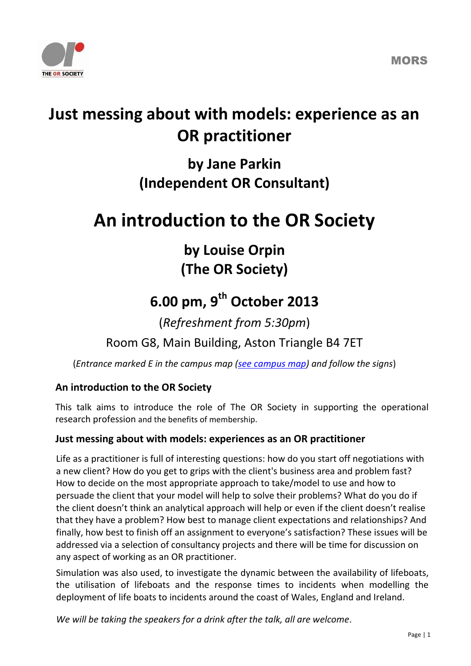

## **Just messing about with models: experience as an OR practitioner**

### **by Jane Parkin (Independent OR Consultant)**

# **An introduction to the OR Society**

**by Louise Orpin (The OR Society)**

## **6.00 pm, 9 th October 2013**

(*Refreshment from 5:30pm*)

Room G8, Main Building, Aston Triangle B4 7ET

(*Entrance marked E in the campus map [\(see campus map\)](http://www1.aston.ac.uk/about/directions/) and follow the signs*)

#### **An introduction to the OR Society**

This talk aims to introduce the role of The OR Society in supporting the operational research profession and the benefits of membership.

#### **Just messing about with models: experiences as an OR practitioner**

Life as a practitioner is full of interesting questions: how do you start off negotiations with a new client? How do you get to grips with the client's business area and problem fast? How to decide on the most appropriate approach to take/model to use and how to persuade the client that your model will help to solve their problems? What do you do if

the client doesn't think an analytical approach will help or even if the client doesn't realise that they have a problem? How best to manage client expectations and relationships? And finally, how best to finish off an assignment to everyone's satisfaction? These issues will be addressed via a selection of consultancy projects and there will be time for discussion on any aspect of working as an OR practitioner.

Simulation was also used, to investigate the dynamic between the availability of lifeboats, the utilisation of lifeboats and the response times to incidents when modelling the deployment of life boats to incidents around the coast of Wales, England and Ireland.

*We will be taking the speakers for a drink after the talk, all are welcome*.